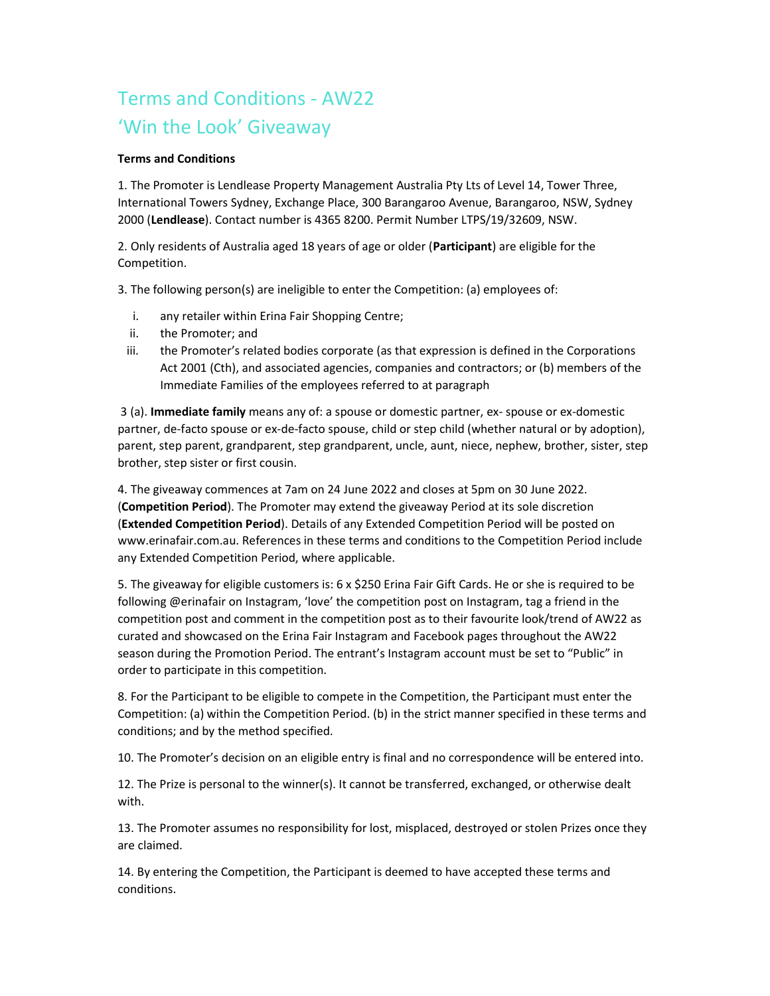## Terms and Conditions - AW22 'Win the Look' Giveaway

## Terms and Conditions

1. The Promoter is Lendlease Property Management Australia Pty Lts of Level 14, Tower Three, International Towers Sydney, Exchange Place, 300 Barangaroo Avenue, Barangaroo, NSW, Sydney 2000 (Lendlease). Contact number is 4365 8200. Permit Number LTPS/19/32609, NSW.

2. Only residents of Australia aged 18 years of age or older (Participant) are eligible for the Competition.

3. The following person(s) are ineligible to enter the Competition: (a) employees of:

- i. any retailer within Erina Fair Shopping Centre;
- ii. the Promoter; and
- iii. the Promoter's related bodies corporate (as that expression is defined in the Corporations Act 2001 (Cth), and associated agencies, companies and contractors; or (b) members of the Immediate Families of the employees referred to at paragraph

3 (a). Immediate family means any of: a spouse or domestic partner, ex-spouse or ex-domestic partner, de-facto spouse or ex-de-facto spouse, child or step child (whether natural or by adoption), parent, step parent, grandparent, step grandparent, uncle, aunt, niece, nephew, brother, sister, step brother, step sister or first cousin.

4. The giveaway commences at 7am on 24 June 2022 and closes at 5pm on 30 June 2022. (Competition Period). The Promoter may extend the giveaway Period at its sole discretion (Extended Competition Period). Details of any Extended Competition Period will be posted on www.erinafair.com.au. References in these terms and conditions to the Competition Period include any Extended Competition Period, where applicable.

5. The giveaway for eligible customers is: 6 x \$250 Erina Fair Gift Cards. He or she is required to be following @erinafair on Instagram, 'love' the competition post on Instagram, tag a friend in the competition post and comment in the competition post as to their favourite look/trend of AW22 as curated and showcased on the Erina Fair Instagram and Facebook pages throughout the AW22 season during the Promotion Period. The entrant's Instagram account must be set to "Public" in order to participate in this competition.

8. For the Participant to be eligible to compete in the Competition, the Participant must enter the Competition: (a) within the Competition Period. (b) in the strict manner specified in these terms and conditions; and by the method specified.

10. The Promoter's decision on an eligible entry is final and no correspondence will be entered into.

12. The Prize is personal to the winner(s). It cannot be transferred, exchanged, or otherwise dealt with.

13. The Promoter assumes no responsibility for lost, misplaced, destroyed or stolen Prizes once they are claimed.

14. By entering the Competition, the Participant is deemed to have accepted these terms and conditions.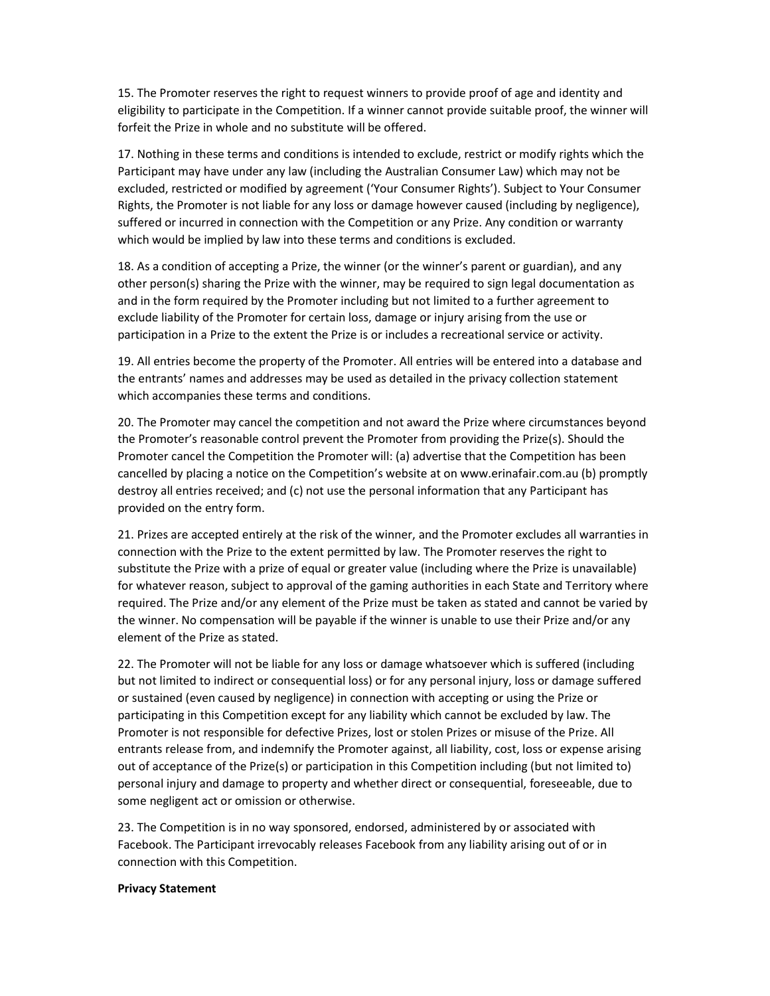15. The Promoter reserves the right to request winners to provide proof of age and identity and eligibility to participate in the Competition. If a winner cannot provide suitable proof, the winner will forfeit the Prize in whole and no substitute will be offered.

17. Nothing in these terms and conditions is intended to exclude, restrict or modify rights which the Participant may have under any law (including the Australian Consumer Law) which may not be excluded, restricted or modified by agreement ('Your Consumer Rights'). Subject to Your Consumer Rights, the Promoter is not liable for any loss or damage however caused (including by negligence), suffered or incurred in connection with the Competition or any Prize. Any condition or warranty which would be implied by law into these terms and conditions is excluded.

18. As a condition of accepting a Prize, the winner (or the winner's parent or guardian), and any other person(s) sharing the Prize with the winner, may be required to sign legal documentation as and in the form required by the Promoter including but not limited to a further agreement to exclude liability of the Promoter for certain loss, damage or injury arising from the use or participation in a Prize to the extent the Prize is or includes a recreational service or activity.

19. All entries become the property of the Promoter. All entries will be entered into a database and the entrants' names and addresses may be used as detailed in the privacy collection statement which accompanies these terms and conditions.

20. The Promoter may cancel the competition and not award the Prize where circumstances beyond the Promoter's reasonable control prevent the Promoter from providing the Prize(s). Should the Promoter cancel the Competition the Promoter will: (a) advertise that the Competition has been cancelled by placing a notice on the Competition's website at on www.erinafair.com.au (b) promptly destroy all entries received; and (c) not use the personal information that any Participant has provided on the entry form.

21. Prizes are accepted entirely at the risk of the winner, and the Promoter excludes all warranties in connection with the Prize to the extent permitted by law. The Promoter reserves the right to substitute the Prize with a prize of equal or greater value (including where the Prize is unavailable) for whatever reason, subject to approval of the gaming authorities in each State and Territory where required. The Prize and/or any element of the Prize must be taken as stated and cannot be varied by the winner. No compensation will be payable if the winner is unable to use their Prize and/or any element of the Prize as stated.

22. The Promoter will not be liable for any loss or damage whatsoever which is suffered (including but not limited to indirect or consequential loss) or for any personal injury, loss or damage suffered or sustained (even caused by negligence) in connection with accepting or using the Prize or participating in this Competition except for any liability which cannot be excluded by law. The Promoter is not responsible for defective Prizes, lost or stolen Prizes or misuse of the Prize. All entrants release from, and indemnify the Promoter against, all liability, cost, loss or expense arising out of acceptance of the Prize(s) or participation in this Competition including (but not limited to) personal injury and damage to property and whether direct or consequential, foreseeable, due to some negligent act or omission or otherwise.

23. The Competition is in no way sponsored, endorsed, administered by or associated with Facebook. The Participant irrevocably releases Facebook from any liability arising out of or in connection with this Competition.

## Privacy Statement